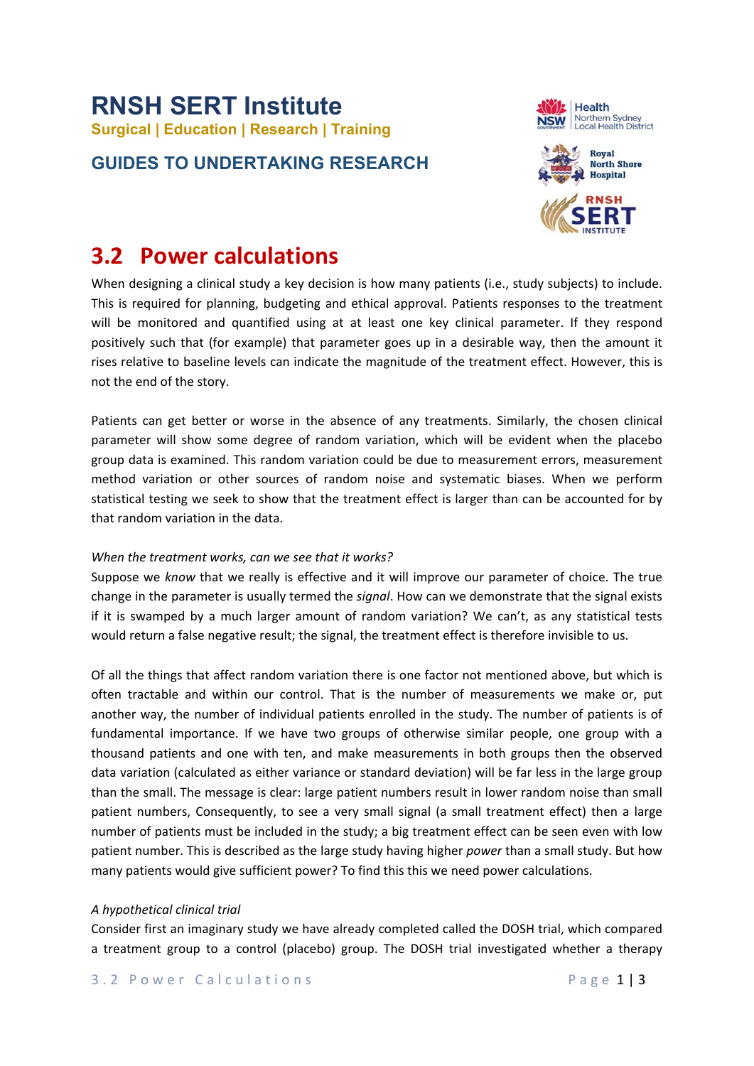# **RNSH SERT Institute Surgical | Education | Research | Training**

### **GUIDES TO UNDERTAKING RESEARCH**





## **3.2 Power calculations**

When designing a clinical study a key decision is how many patients (i.e., study subjects) to include. This is required for planning, budgeting and ethical approval. Patients responses to the treatment will be monitored and quantified using at at least one key clinical parameter. If they respond positively such that (for example) that parameter goes up in a desirable way, then the amount it rises relative to baseline levels can indicate the magnitude of the treatment effect. However, this is not the end of the story.

Patients can get better or worse in the absence of any treatments. Similarly, the chosen clinical parameter will show some degree of random variation, which will be evident when the placebo group data is examined. This random variation could be due to measurement errors, measurement method variation or other sources of random noise and systematic biases. When we perform statistical testing we seek to show that the treatment effect is larger than can be accounted for by that random variation in the data.

#### *When the treatment works, can we see that it works?*

Suppose we *know* that we really is effective and it will improve our parameter of choice. The true change in the parameter is usually termed the *signal*. How can we demonstrate that the signal exists if it is swamped by a much larger amount of random variation? We can't, as any statistical tests would return a false negative result; the signal, the treatment effect is therefore invisible to us.

Of all the things that affect random variation there is one factor not mentioned above, but which is often tractable and within our control. That is the number of measurements we make or, put another way, the number of individual patients enrolled in the study. The number of patients is of fundamental importance. If we have two groups of otherwise similar people, one group with a thousand patients and one with ten, and make measurements in both groups then the observed data variation (calculated as either variance or standard deviation) will be far less in the large group than the small. The message is clear: large patient numbers result in lower random noise than small patient numbers, Consequently, to see a very small signal (a small treatment effect) then a large number of patients must be included in the study; a big treatment effect can be seen even with low patient number. This is described as the large study having higher *power* than a small study. But how many patients would give sufficient power? To find this this we need power calculations.

#### *A hypothetical clinical trial*

Consider first an imaginary study we have already completed called the DOSH trial, which compared a treatment group to a control (placebo) group. The DOSH trial investigated whether a therapy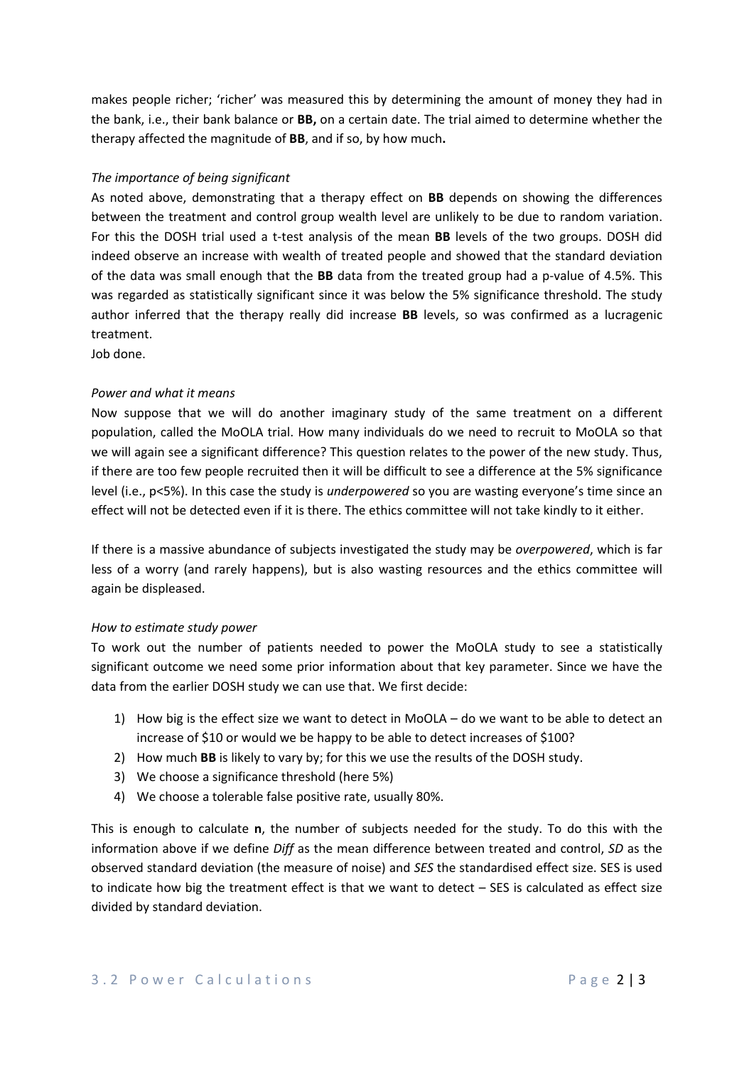makes people richer; 'richer' was measured this by determining the amount of money they had in the bank, i.e., their bank balance or **BB,** on a certain date. The trial aimed to determine whether the therapy affected the magnitude of **BB**, and if so, by how much**.**

#### *The importance of being significant*

As noted above, demonstrating that a therapy effect on **BB** depends on showing the differences between the treatment and control group wealth level are unlikely to be due to random variation. For this the DOSH trial used a t‐test analysis of the mean **BB**  levels of the two groups. DOSH did indeed observe an increase with wealth of treated people and showed that the standard deviation of the data was small enough that the **BB** data from the treated group had a p‐value of 4.5%. This was regarded as statistically significant since it was below the 5% significance threshold. The study author inferred that the therapy really did increase **BB** levels, so was confirmed as a lucragenic treatment.

Job done.

#### *Power and what it means*

Now suppose that we will do another imaginary study of the same treatment on a different population, called the MoOLA trial. How many individuals do we need to recruit to MoOLA so that we will again see a significant difference? This question relates to the power of the new study. Thus, if there are too few people recruited then it will be difficult to see a difference at the 5% significance level (i.e., p<5%). In this case the study is *underpowered* so you are wasting everyone's time since an effect will not be detected even if it is there. The ethics committee will not take kindly to it either.

If there is a massive abundance of subjects investigated the study may be *overpowered*, which is far less of a worry (and rarely happens), but is also wasting resources and the ethics committee will again be displeased.

#### *How to estimate study power*

To work out the number of patients needed to power the MoOLA study to see a statistically significant outcome we need some prior information about that key parameter. Since we have the data from the earlier DOSH study we can use that. We first decide:

- 1) How big is the effect size we want to detect in MoOLA do we want to be able to detect an increase of \$10 or would we be happy to be able to detect increases of \$100?
- 2) How much **BB** is likely to vary by; for this we use the results of the DOSH study.
- 3) We choose a significance threshold (here 5%)
- 4) We choose a tolerable false positive rate, usually 80%.

This is enough to calculate **n**, the number of subjects needed for the study. To do this with the information above if we define *Diff* as the mean difference between treated and control, *SD* as the observed standard deviation (the measure of noise) and *SES* the standardised effect size. SES is used to indicate how big the treatment effect is that we want to detect – SES is calculated as effect size divided by standard deviation.